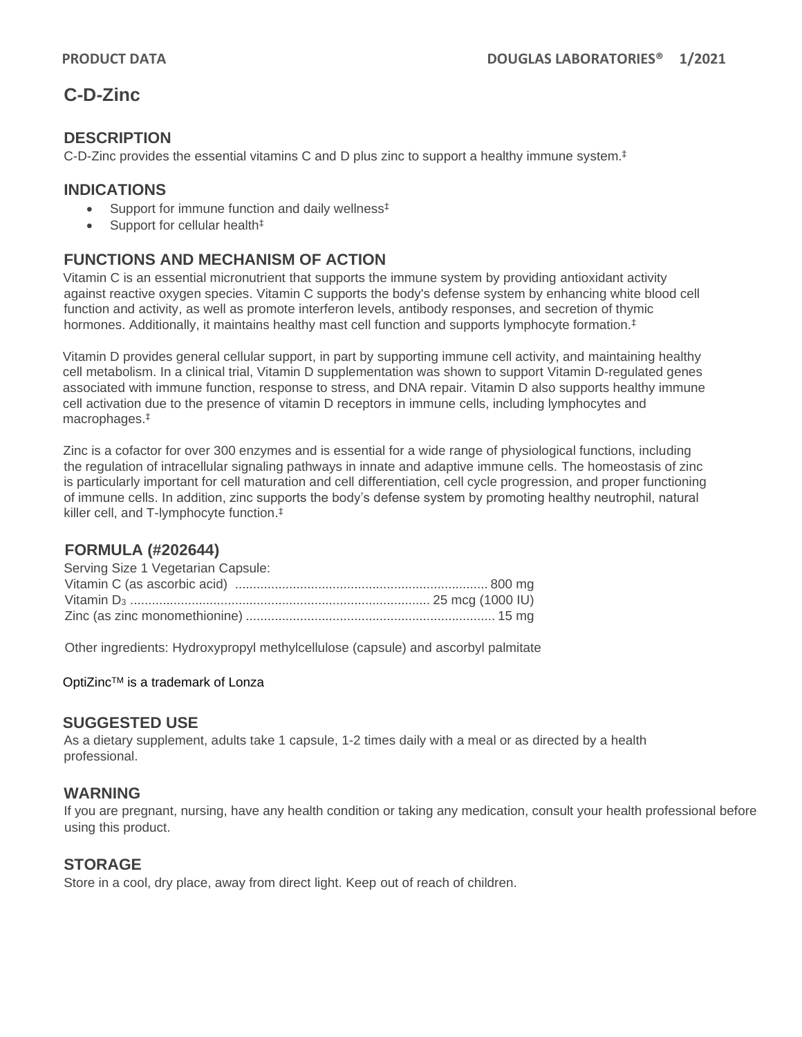# **C-D-Zinc**

#### **DESCRIPTION**

C-D-Zinc provides the essential vitamins C and D plus zinc to support a healthy immune system. ‡

#### **INDICATIONS**

- Support for immune function and daily wellness<sup>‡</sup>
- Support for cellular health<sup>‡</sup>

## **FUNCTIONS AND MECHANISM OF ACTION**

Vitamin C is an essential micronutrient that supports the immune system by providing antioxidant activity against reactive oxygen species. Vitamin C supports the body's defense system by enhancing white blood cell function and activity, as well as promote interferon levels, antibody responses, and secretion of thymic hormones. Additionally, it maintains healthy mast cell function and supports lymphocyte formation.<sup>‡</sup>

Vitamin D provides general cellular support, in part by supporting immune cell activity, and maintaining healthy cell metabolism. In a clinical trial, Vitamin D supplementation was shown to support Vitamin D-regulated genes associated with immune function, response to stress, and DNA repair. Vitamin D also supports healthy immune cell activation due to the presence of vitamin D receptors in immune cells, including lymphocytes and macrophages.‡

Zinc is a cofactor for over 300 enzymes and is essential for a wide range of physiological functions, including the regulation of intracellular signaling pathways in innate and adaptive immune cells. The homeostasis of zinc is particularly important for cell maturation and cell differentiation, cell cycle progression, and proper functioning of immune cells. In addition, zinc supports the body's defense system by promoting healthy neutrophil, natural killer cell, and T-lymphocyte function. ‡

### **FORMULA (#202644)**

| Serving Size 1 Vegetarian Capsule: |  |
|------------------------------------|--|
|                                    |  |
|                                    |  |
|                                    |  |

Other ingredients: Hydroxypropyl methylcellulose (capsule) and ascorbyl palmitate

OptiZinc™ is a trademark of Lonza

#### **SUGGESTED USE**

As a dietary supplement, adults take 1 capsule, 1-2 times daily with a meal or as directed by a health professional.

#### **WARNING**

If you are pregnant, nursing, have any health condition or taking any medication, consult your health professional before using this product.

#### **STORAGE**

Store in a cool, dry place, away from direct light. Keep out of reach of children.